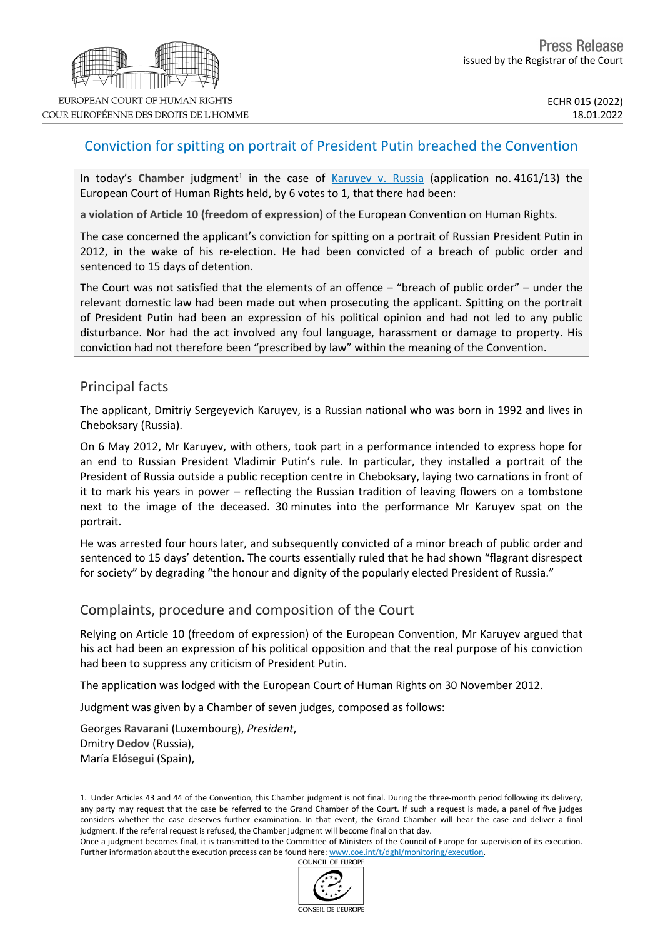# Conviction for spitting on portrait of President Putin breached the Convention

In today's Chamber judgment<sup>1</sup> in the case of [Karuyev](https://hudoc.echr.coe.int/eng?i=001-215163) v. Russia (application no. 4161/13) the European Court of Human Rights held, by 6 votes to 1, that there had been:

**a violation of Article 10 (freedom of expression)** of the European Convention on Human Rights.

The case concerned the applicant's conviction for spitting on a portrait of Russian President Putin in 2012, in the wake of his re-election. He had been convicted of a breach of public order and sentenced to 15 days of detention.

The Court was not satisfied that the elements of an offence – "breach of public order" – under the relevant domestic law had been made out when prosecuting the applicant. Spitting on the portrait of President Putin had been an expression of his political opinion and had not led to any public disturbance. Nor had the act involved any foul language, harassment or damage to property. His conviction had not therefore been "prescribed by law" within the meaning of the Convention.

### Principal facts

The applicant, Dmitriy Sergeyevich Karuyev, is a Russian national who was born in 1992 and lives in Cheboksary (Russia).

On 6 May 2012, Mr Karuyev, with others, took part in a performance intended to express hope for an end to Russian President Vladimir Putin's rule. In particular, they installed a portrait of the President of Russia outside a public reception centre in Cheboksary, laying two carnations in front of it to mark his years in power – reflecting the Russian tradition of leaving flowers on a tombstone next to the image of the deceased. 30 minutes into the performance Mr Karuyev spat on the portrait.

He was arrested four hours later, and subsequently convicted of a minor breach of public order and sentenced to 15 days' detention. The courts essentially ruled that he had shown "flagrant disrespect for society" by degrading "the honour and dignity of the popularly elected President of Russia."

### Complaints, procedure and composition of the Court

Relying on Article 10 (freedom of expression) of the European Convention, Mr Karuyev argued that his act had been an expression of his political opposition and that the real purpose of his conviction had been to suppress any criticism of President Putin.

The application was lodged with the European Court of Human Rights on 30 November 2012.

Judgment was given by a Chamber of seven judges, composed as follows:

Georges **Ravarani** (Luxembourg), *President*, Dmitry **Dedov** (Russia), María **Elósegui** (Spain),

1. Under Articles 43 and 44 of the Convention, this Chamber judgment is not final. During the three-month period following its delivery, any party may request that the case be referred to the Grand Chamber of the Court. If such a request is made, a panel of five judges considers whether the case deserves further examination. In that event, the Grand Chamber will hear the case and deliver a final judgment. If the referral request is refused, the Chamber judgment will become final on that day.

Once a judgment becomes final, it is transmitted to the Committee of Ministers of the Council of Europe for supervision of its execution. Further information about the execution process can be found here: [www.coe.int/t/dghl/monitoring/execution](http://www.coe.int/t/dghl/monitoring/execution).<br>COUNCIL OF EUROPE

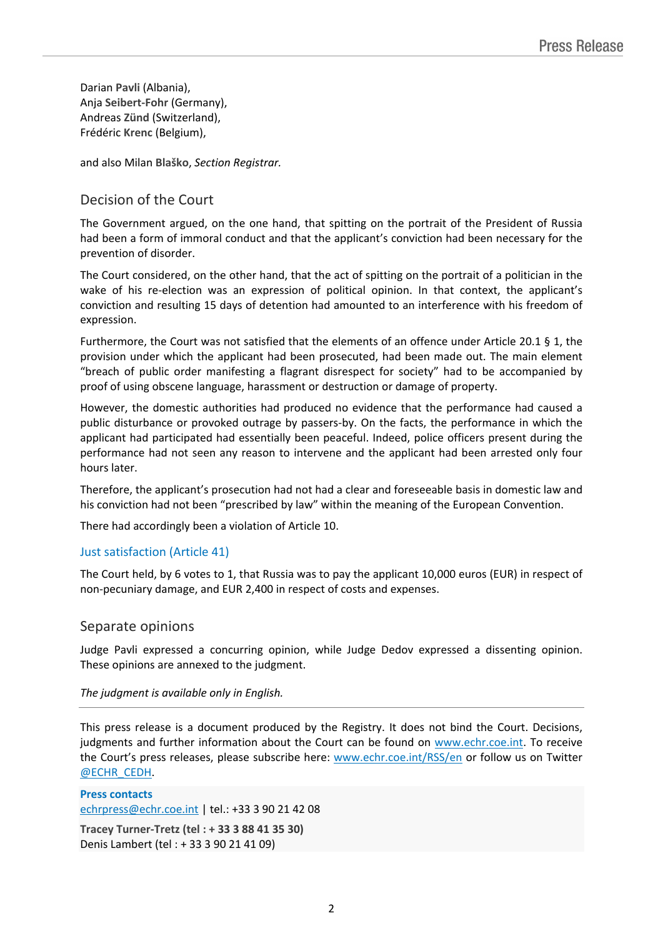Darian **Pavli** (Albania), Anja **Seibert-Fohr** (Germany), Andreas **Zünd** (Switzerland), Frédéric **Krenc** (Belgium),

and also Milan **Blaško**, *Section Registrar.*

## Decision of the Court

The Government argued, on the one hand, that spitting on the portrait of the President of Russia had been a form of immoral conduct and that the applicant's conviction had been necessary for the prevention of disorder.

The Court considered, on the other hand, that the act of spitting on the portrait of a politician in the wake of his re-election was an expression of political opinion. In that context, the applicant's conviction and resulting 15 days of detention had amounted to an interference with his freedom of expression.

Furthermore, the Court was not satisfied that the elements of an offence under Article 20.1 § 1, the provision under which the applicant had been prosecuted, had been made out. The main element "breach of public order manifesting a flagrant disrespect for society" had to be accompanied by proof of using obscene language, harassment or destruction or damage of property.

However, the domestic authorities had produced no evidence that the performance had caused a public disturbance or provoked outrage by passers-by. On the facts, the performance in which the applicant had participated had essentially been peaceful. Indeed, police officers present during the performance had not seen any reason to intervene and the applicant had been arrested only four hours later.

Therefore, the applicant's prosecution had not had a clear and foreseeable basis in domestic law and his conviction had not been "prescribed by law" within the meaning of the European Convention.

There had accordingly been a violation of Article 10.

### Just satisfaction (Article 41)

The Court held, by 6 votes to 1, that Russia was to pay the applicant 10,000 euros (EUR) in respect of non-pecuniary damage, and EUR 2,400 in respect of costs and expenses.

### Separate opinions

Judge Pavli expressed a concurring opinion, while Judge Dedov expressed a dissenting opinion. These opinions are annexed to the judgment.

#### *The judgment is available only in English.*

This press release is a document produced by the Registry. It does not bind the Court. Decisions, judgments and further information about the Court can be found on [www.echr.coe.int](http://www.echr.coe.int/). To receive the Court's press releases, please subscribe here: [www.echr.coe.int/RSS/en](http://www.echr.coe.int/RSS/en) or follow us on Twitter [@ECHR\\_CEDH](https://twitter.com/ECHR_CEDH).

**Press contacts** [echrpress@echr.coe.int](mailto:Echrpress@echr.coe.int) | tel.: +33 3 90 21 42 08 **Tracey Turner-Tretz (tel : + 33 3 88 41 35 30)** Denis Lambert (tel : + 33 3 90 21 41 09)